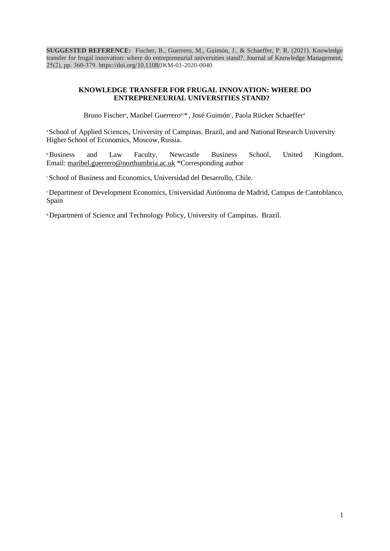**SUGGESTED REFERENCE:** Fischer, B., Guerrero, M., Guimón, J., & Schaeffer, P. R. (2021). Knowledge transfer for frugal innovation: where do entrepreneurial universities stand?. Journal of Knowledge Management, 25(2), pp. 360-379. [https://doi.org/10.1108/J](https://doi.org/10.1108/JKM-01-2020-0040)KM-01-2020-0040

### **KNOWLEDGE TRANSFER FOR FRUGAL INNOVATION: WHERE DO ENTREPRENEURIAL UNIVERSITIES STAND?**

Bruno Fischer<sup>a</sup>, Maribel Guerrero<sup>bc\*</sup>, José Guimón<sup>c</sup>, Paola Rücker Schaeffer<sup>d</sup>

<sup>a</sup> School of Applied Sciences, University of Campinas. Brazil, and and National Research University Higher School of Economics, Moscow,Russia.

**Business** and Law Faculty, Newcastle Business School, United Kingdom. Email: [maribel.guerrero@northumbria.ac.uk](mailto:maribel.guerrero@northumbria.ac.uk) \*Corresponding author

<sup>c</sup>School of Business and Economics, Universidad del Desarrollo, Chile.

<sup>c</sup>Department of Development Economics, Universidad Autónoma de Madrid, Campus de Cantoblanco, Spain

<sup>d</sup>Department of Science and Technology Policy, University of Campinas. Brazil.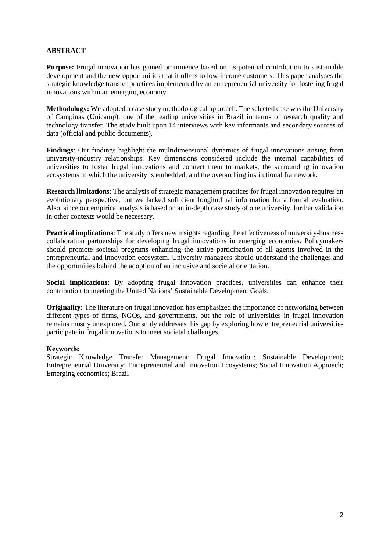# **ABSTRACT**

**Purpose:** Frugal innovation has gained prominence based on its potential contribution to sustainable development and the new opportunities that it offers to low-income customers. This paper analyses the strategic knowledge transfer practices implemented by an entrepreneurial university for fostering frugal innovations within an emerging economy.

**Methodology:** We adopted a case study methodological approach. The selected case was the University of Campinas (Unicamp), one of the leading universities in Brazil in terms of research quality and technology transfer. The study built upon 14 interviews with key informants and secondary sources of data (official and public documents).

**Findings**: Our findings highlight the multidimensional dynamics of frugal innovations arising from university-industry relationships. Key dimensions considered include the internal capabilities of universities to foster frugal innovations and connect them to markets, the surrounding innovation ecosystems in which the university is embedded, and the overarching institutional framework.

**Research limitations**: The analysis of strategic management practices for frugal innovation requires an evolutionary perspective, but we lacked sufficient longitudinal information for a formal evaluation. Also, since our empirical analysis is based on an in-depth case study of one university, further validation in other contexts would be necessary.

**Practical implications**: The study offers new insights regarding the effectiveness of university-business collaboration partnerships for developing frugal innovations in emerging economies. Policymakers should promote societal programs enhancing the active participation of all agents involved in the entrepreneurial and innovation ecosystem. University managers should understand the challenges and the opportunities behind the adoption of an inclusive and societal orientation.

**Social implications**: By adopting frugal innovation practices, universities can enhance their contribution to meeting the United Nations' Sustainable Development Goals.

**Originality:** The literature on frugal innovation has emphasized the importance of networking between different types of firms, NGOs, and governments, but the role of universities in frugal innovation remains mostly unexplored. Our study addresses this gap by exploring how entrepreneurial universities participate in frugal innovations to meet societal challenges.

#### **Keywords:**

Strategic Knowledge Transfer Management; Frugal Innovation; Sustainable Development; Entrepreneurial University; Entrepreneurial and Innovation Ecosystems; Social Innovation Approach; Emerging economies; Brazil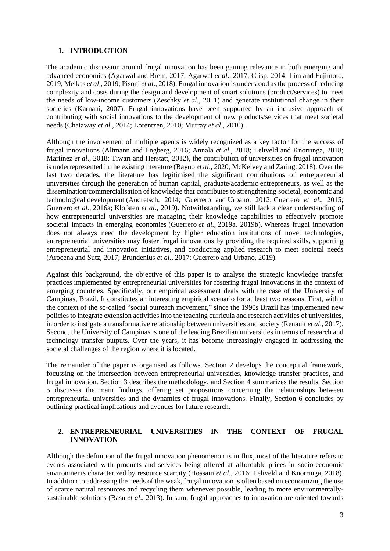### **1. INTRODUCTION**

The academic discussion around frugal innovation has been gaining relevance in both emerging and advanced economies (Agarwal and Brem, 2017; Agarwal *et al*., 2017; Crisp, 2014; Lim and Fujimoto, 2019; Melkas *et al*., 2019; Pisoni *et al*., 2018). Frugal innovation is understood as the process of reducing complexity and costs during the design and development of smart solutions (product/services) to meet the needs of low-income customers (Zeschky *et al*., 2011) and generate institutional change in their societies (Karnani, 2007). Frugal innovations have been supported by an inclusive approach of contributing with social innovations to the development of new products/services that meet societal needs (Chataway *et al*., 2014; Lorentzen, 2010; Murray *et al*., 2010).

Although the involvement of multiple agents is widely recognized as a key factor for the success of frugal innovations (Altmann and Engberg, 2016; Annala *et al*., 2018; Leliveld and Knorringa, 2018; Martínez *et al*., 2018; Tiwari and Herstatt, 2012), the contribution of universities on frugal innovation is underrepresented in the existing literature (Bayuo *et al*., 2020; McKelvey and Zaring, 2018). Over the last two decades, the literature has legitimised the significant contributions of entrepreneurial universities through the generation of human capital, graduate/academic entrepreneurs, as well as the dissemination/commercialisation of knowledge that contributes to strengthening societal, economic and technological development (Audretsch, 2014; Guerrero and Urbano, 2012; Guerrero *et al*., 2015; Guerrero *et al.*, 2016a; Klofsten *et al.*, 2019). Notwithstanding, we still lack a clear understanding of how entrepreneurial universities are managing their knowledge capabilities to effectively promote societal impacts in emerging economies (Guerrero *et al.*, 2019a, 2019b). Whereas frugal innovation does not always need the development by higher education institutions of novel technologies, entrepreneurial universities may foster frugal innovations by providing the required skills, supporting entrepreneurial and innovation initiatives, and conducting applied research to meet societal needs (Arocena and Sutz, 2017; Brundenius *et al*., 2017; Guerrero and Urbano, 2019).

Against this background, the objective of this paper is to analyse the strategic knowledge transfer practices implemented by entrepreneurial universities for fostering frugal innovations in the context of emerging countries. Specifically, our empirical assessment deals with the case of the University of Campinas, Brazil. It constitutes an interesting empirical scenario for at least two reasons. First, within the context of the so-called "social outreach movement," since the 1990s Brazil has implemented new policies to integrate extension activities into the teaching curricula and research activities of universities, in order to instigate a transformative relationship between universities and society (Renault *et al*., 2017). Second, the University of Campinas is one of the leading Brazilian universities in terms of research and technology transfer outputs. Over the years, it has become increasingly engaged in addressing the societal challenges of the region where it is located.

The remainder of the paper is organised as follows. Section 2 develops the conceptual framework, focussing on the intersection between entrepreneurial universities, knowledge transfer practices, and frugal innovation. Section 3 describes the methodology, and Section 4 summarizes the results. Section 5 discusses the main findings, offering set propositions concerning the relationships between entrepreneurial universities and the dynamics of frugal innovations. Finally, Section 6 concludes by outlining practical implications and avenues for future research.

### **2. ENTREPRENEURIAL UNIVERSITIES IN THE CONTEXT OF FRUGAL INNOVATION**

Although the definition of the frugal innovation phenomenon is in flux, most of the literature refers to events associated with products and services being offered at affordable prices in socio-economic environments characterized by resource scarcity (Hossain *et al*., 2016; Leliveld and Knorringa, 2018). In addition to addressing the needs of the weak, frugal innovation is often based on economizing the use of scarce natural resources and recycling them whenever possible, leading to more environmentallysustainable solutions (Basu *et al*., 2013). In sum, frugal approaches to innovation are oriented towards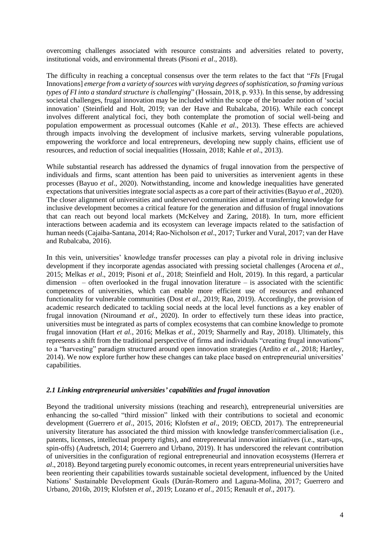overcoming challenges associated with resource constraints and adversities related to poverty, institutional voids, and environmental threats (Pisoni *et al*., 2018).

The difficulty in reaching a conceptual consensus over the term relates to the fact that "*FIs* [Frugal Innovations] *emerge from a variety of sources with varying degrees of sophistication, so framing various types of FI into a standard structure is challenging*" (Hossain, 2018, p. 933). In this sense, by addressing societal challenges, frugal innovation may be included within the scope of the broader notion of 'social innovation' (Steinfield and Holt, 2019; van der Have and Rubalcaba, 2016). While each concept involves different analytical foci, they both contemplate the promotion of social well-being and population empowerment as processual outcomes (Kahle *et al*., 2013). These effects are achieved through impacts involving the development of inclusive markets, serving vulnerable populations, empowering the workforce and local entrepreneurs, developing new supply chains, efficient use of resources, and reduction of social inequalities (Hossain, 2018; Kahle *et al*., 2013).

While substantial research has addressed the dynamics of frugal innovation from the perspective of individuals and firms, scant attention has been paid to universities as intervenient agents in these processes (Bayuo *et al*., 2020). Notwithstanding, income and knowledge inequalities have generated expectations that universities integrate social aspects as a core part of their activities (Bayuo *et al*., 2020). The closer alignment of universities and underserved communities aimed at transferring knowledge for inclusive development becomes a critical feature for the generation and diffusion of frugal innovations that can reach out beyond local markets (McKelvey and Zaring, 2018). In turn, more efficient interactions between academia and its ecosystem can leverage impacts related to the satisfaction of human needs (Cajaiba-Santana, 2014; Rao-Nicholson *et al*., 2017; Turker and Vural, 2017; van der Have and Rubalcaba, 2016).

In this vein, universities' knowledge transfer processes can play a pivotal role in driving inclusive development if they incorporate agendas associated with pressing societal challenges (Arocena *et al*., 2015; Melkas *et al*., 2019; Pisoni *et al*., 2018; Steinfield and Holt, 2019). In this regard, a particular dimension – often overlooked in the frugal innovation literature – is associated with the scientific competences of universities, which can enable more efficient use of resources and enhanced functionality for vulnerable communities (Dost *et al*., 2019; Rao, 2019). Accordingly, the provision of academic research dedicated to tackling social needs at the local level functions as a key enabler of frugal innovation (Niroumand *et al*., 2020). In order to effectively turn these ideas into practice, universities must be integrated as parts of complex ecosystems that can combine knowledge to promote frugal innovation (Hart *et al.*, 2016; Melkas *et al.*, 2019; Sharmelly and Ray, 2018). Ultimately, this represents a shift from the traditional perspective of firms and individuals "creating frugal innovations" to a "harvesting" paradigm structured around open innovation strategies (Ardito *et al.*, 2018; Hartley, 2014). We now explore further how these changes can take place based on entrepreneurial universities' capabilities.

#### *2.1 Linking entrepreneurial universities' capabilities and frugal innovation*

Beyond the traditional university missions (teaching and research), entrepreneurial universities are enhancing the so-called "third mission" linked with their contributions to societal and economic development (Guerrero *et al*., 2015, 2016; Klofsten *et al*., 2019; OECD, 2017). The entrepreneurial university literature has associated the third mission with knowledge transfer/commercialisation (i.e., patents, licenses, intellectual property rights), and entrepreneurial innovation initiatives (i.e., start-ups, spin-offs) (Audretsch, 2014; Guerrero and Urbano, 2019). It has underscored the relevant contribution of universities in the configuration of regional entrepreneurial and innovation ecosystems (Herrera *et al*., 2018). Beyond targeting purely economic outcomes, in recent years entrepreneurial universities have been reorienting their capabilities towards sustainable societal development, influenced by the United Nations' Sustainable Development Goals (Durán-Romero and Laguna-Molina, 2017; Guerrero and Urbano, 2016b, 2019; Klofsten *et al*., 2019; Lozano *et al*., 2015; Renault *et al*., 2017).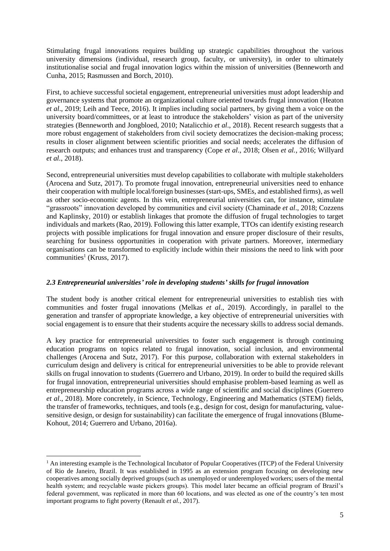Stimulating frugal innovations requires building up strategic capabilities throughout the various university dimensions (individual, research group, faculty, or university), in order to ultimately institutionalise social and frugal innovation logics within the mission of universities (Benneworth and Cunha, 2015; Rasmussen and Borch, 2010).

First, to achieve successful societal engagement, entrepreneurial universities must adopt leadership and governance systems that promote an organizational culture oriented towards frugal innovation (Heaton *et al*., 2019; Leih and Teece, 2016). It implies including social partners, by giving them a voice on the university board/committees, or at least to introduce the stakeholders' vision as part of the university strategies (Benneworth and Jongbloed, 2010; Natalicchio *et al*., 2018). Recent research suggests that a more robust engagement of stakeholders from civil society democratizes the decision-making process; results in closer alignment between scientific priorities and social needs; accelerates the diffusion of research outputs; and enhances trust and transparency (Cope *et al*., 2018; Olsen *et al.*, 2016; Willyard *et al.*, 2018).

Second, entrepreneurial universities must develop capabilities to collaborate with multiple stakeholders (Arocena and Sutz, 2017). To promote frugal innovation, entrepreneurial universities need to enhance their cooperation with multiple local/foreign businesses (start-ups, SMEs, and established firms), as well as other socio-economic agents. In this vein, entrepreneurial universities can, for instance, stimulate "grassroots" innovation developed by communities and civil society (Chaminade *et al*., 2018; Cozzens and Kaplinsky, 2010) or establish linkages that promote the diffusion of frugal technologies to target individuals and markets (Rao, 2019). Following this latter example, TTOs can identify existing research projects with possible implications for frugal innovation and ensure proper disclosure of their results, searching for business opportunities in cooperation with private partners. Moreover, intermediary organisations can be transformed to explicitly include within their missions the need to link with poor communities<sup>1</sup> (Kruss, 2017).

## *2.3 Entrepreneurial universities' role in developing students' skills for frugal innovation*

The student body is another critical element for entrepreneurial universities to establish ties with communities and foster frugal innovations (Melkas *et al.,* 2019). Accordingly, in parallel to the generation and transfer of appropriate knowledge, a key objective of entrepreneurial universities with social engagement is to ensure that their students acquire the necessary skills to address social demands.

A key practice for entrepreneurial universities to foster such engagement is through continuing education programs on topics related to frugal innovation, social inclusion, and environmental challenges (Arocena and Sutz, 2017). For this purpose, collaboration with external stakeholders in curriculum design and delivery is critical for entrepreneurial universities to be able to provide relevant skills on frugal innovation to students (Guerrero and Urbano, 2019). In order to build the required skills for frugal innovation, entrepreneurial universities should emphasise problem-based learning as well as entrepreneurship education programs across a wide range of scientific and social disciplines (Guerrero *et al*., 2018). More concretely, in Science, Technology, Engineering and Mathematics (STEM) fields, the transfer of frameworks, techniques, and tools (e.g., design for cost, design for manufacturing, valuesensitive design, or design for sustainability) can facilitate the emergence of frugal innovations (Blume-Kohout, 2014; Guerrero and Urbano, 2016a).

 $<sup>1</sup>$  An interesting example is the Technological Incubator of Popular Cooperatives (ITCP) of the Federal University</sup> of Rio de Janeiro, Brazil. It was established in 1995 as an extension program focusing on developing new cooperatives among socially deprived groups (such as unemployed or underemployed workers; users of the mental health system; and recyclable waste pickers groups). This model later became an official program of Brazil's federal government, was replicated in more than 60 locations, and was elected as one of the country's ten most important programs to fight poverty (Renault *et al.*, 2017).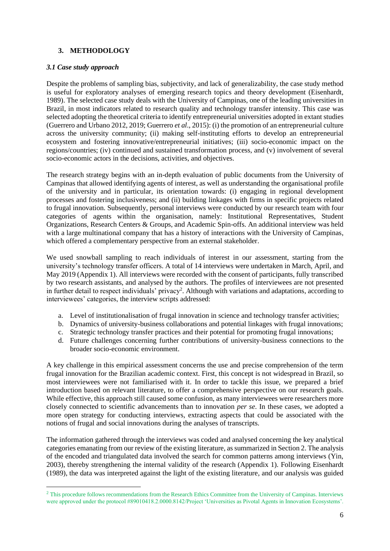# **3. METHODOLOGY**

#### *3.1 Case study approach*

Despite the problems of sampling bias, subjectivity, and lack of generalizability, the case study method is useful for exploratory analyses of emerging research topics and theory development (Eisenhardt, 1989). The selected case study deals with the University of Campinas, one of the leading universities in Brazil, in most indicators related to research quality and technology transfer intensity. This case was selected adopting the theoretical criteria to identify entrepreneurial universities adopted in extant studies (Guerrero and Urbano 2012, 2019; Guerrero *et al*., 2015): (i) the promotion of an entrepreneurial culture across the university community; (ii) making self-instituting efforts to develop an entrepreneurial ecosystem and fostering innovative/entrepreneurial initiatives; (iii) socio-economic impact on the regions/countries; (iv) continued and sustained transformation process, and (v) involvement of several socio-economic actors in the decisions, activities, and objectives.

The research strategy begins with an in-depth evaluation of public documents from the University of Campinas that allowed identifying agents of interest, as well as understanding the organisational profile of the university and in particular, its orientation towards: (i) engaging in regional development processes and fostering inclusiveness; and (ii) building linkages with firms in specific projects related to frugal innovation. Subsequently, personal interviews were conducted by our research team with four categories of agents within the organisation, namely: Institutional Representatives, Student Organizations, Research Centers & Groups, and Academic Spin-offs. An additional interview was held with a large multinational company that has a history of interactions with the University of Campinas, which offered a complementary perspective from an external stakeholder.

We used snowball sampling to reach individuals of interest in our assessment, starting from the university's technology transfer officers. A total of 14 interviews were undertaken in March, April, and May 2019 (Appendix 1). All interviews were recorded with the consent of participants, fully transcribed by two research assistants, and analysed by the authors. The profiles of interviewees are not presented in further detail to respect individuals' privacy<sup>2</sup>. Although with variations and adaptations, according to interviewees' categories, the interview scripts addressed:

- a. Level of institutionalisation of frugal innovation in science and technology transfer activities;
- b. Dynamics of university-business collaborations and potential linkages with frugal innovations;
- c. Strategic technology transfer practices and their potential for promoting frugal innovations;
- d. Future challenges concerning further contributions of university-business connections to the broader socio-economic environment.

A key challenge in this empirical assessment concerns the use and precise comprehension of the term frugal innovation for the Brazilian academic context. First, this concept is not widespread in Brazil, so most interviewees were not familiarised with it. In order to tackle this issue, we prepared a brief introduction based on relevant literature, to offer a comprehensive perspective on our research goals. While effective, this approach still caused some confusion, as many interviewees were researchers more closely connected to scientific advancements than to innovation *per se*. In these cases, we adopted a more open strategy for conducting interviews, extracting aspects that could be associated with the notions of frugal and social innovations during the analyses of transcripts.

The information gathered through the interviews was coded and analysed concerning the key analytical categories emanating from our review of the existing literature, as summarized in Section 2. The analysis of the encoded and triangulated data involved the search for common patterns among interviews (Yin, 2003), thereby strengthening the internal validity of the research (Appendix 1). Following Eisenhardt (1989), the data was interpreted against the light of the existing literature, and our analysis was guided

<sup>&</sup>lt;sup>2</sup> This procedure follows recommendations from the Research Ethics Committee from the University of Campinas. Interviews were approved under the protocol #89010418.2.0000.8142/Project 'Universities as Pivotal Agents in Innovation Ecosystems'.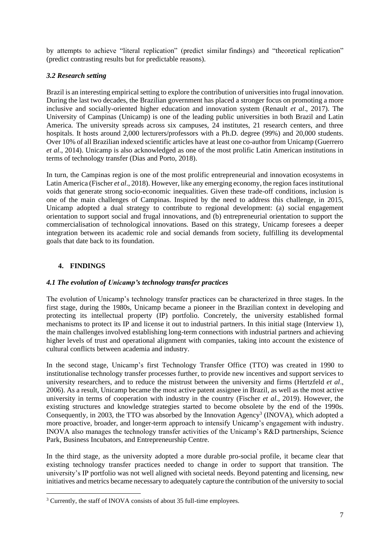by attempts to achieve "literal replication" (predict similar findings) and "theoretical replication" (predict contrasting results but for predictable reasons).

# *3.2 Research setting*

Brazil is an interesting empirical setting to explore the contribution of universities into frugal innovation. During the last two decades, the Brazilian government has placed a stronger focus on promoting a more inclusive and socially-oriented higher education and innovation system (Renault *et al*., 2017). The University of Campinas (Unicamp) is one of the leading public universities in both Brazil and Latin America. The university spreads across six campuses, 24 institutes, 21 research centers, and three hospitals. It hosts around 2,000 lecturers/professors with a Ph.D. degree (99%) and 20,000 students. Over 10% of all Brazilian indexed scientific articles have at least one co-author from Unicamp (Guerrero *et al*., 2014). Unicamp is also acknowledged as one of the most prolific Latin American institutions in terms of technology transfer (Dias and Porto, 2018).

In turn, the Campinas region is one of the most prolific entrepreneurial and innovation ecosystems in Latin America (Fischer *et al.*, 2018). However, like any emerging economy, the region faces institutional voids that generate strong socio-economic inequalities. Given these trade-off conditions, inclusion is one of the main challenges of Campinas. Inspired by the need to address this challenge, in 2015, Unicamp adopted a dual strategy to contribute to regional development: (a) social engagement orientation to support social and frugal innovations, and (b) entrepreneurial orientation to support the commercialisation of technological innovations. Based on this strategy, Unicamp foresees a deeper integration between its academic role and social demands from society, fulfilling its developmental goals that date back to its foundation.

# **4. FINDINGS**

## *4.1 The evolution of Unicamp's technology transfer practices*

The evolution of Unicamp's technology transfer practices can be characterized in three stages. In the first stage, during the 1980s, Unicamp became a pioneer in the Brazilian context in developing and protecting its intellectual property (IP) portfolio. Concretely, the university established formal mechanisms to protect its IP and license it out to industrial partners. In this initial stage (Interview 1), the main challenges involved establishing long-term connections with industrial partners and achieving higher levels of trust and operational alignment with companies, taking into account the existence of cultural conflicts between academia and industry.

In the second stage, Unicamp's first Technology Transfer Office (TTO) was created in 1990 to institutionalise technology transfer processes further, to provide new incentives and support services to university researchers, and to reduce the mistrust between the university and firms (Hertzfeld *et al*., 2006). As a result, Unicamp became the most active patent assignee in Brazil, as well as the most active university in terms of cooperation with industry in the country (Fischer *et al*., 2019). However, the existing structures and knowledge strategies started to become obsolete by the end of the 1990s. Consequently, in 2003, the TTO was absorbed by the Innovation Agency<sup>3</sup> (INOVA), which adopted a more proactive, broader, and longer-term approach to intensify Unicamp's engagement with industry. INOVA also manages the technology transfer activities of the Unicamp's R&D partnerships, Science Park, Business Incubators, and Entrepreneurship Centre.

In the third stage*,* as the university adopted a more durable pro-social profile, it became clear that existing technology transfer practices needed to change in order to support that transition. The university's IP portfolio was not well aligned with societal needs. Beyond patenting and licensing, new initiatives and metrics became necessary to adequately capture the contribution of the university to social

<sup>&</sup>lt;sup>3</sup> Currently, the staff of INOVA consists of about 35 full-time employees.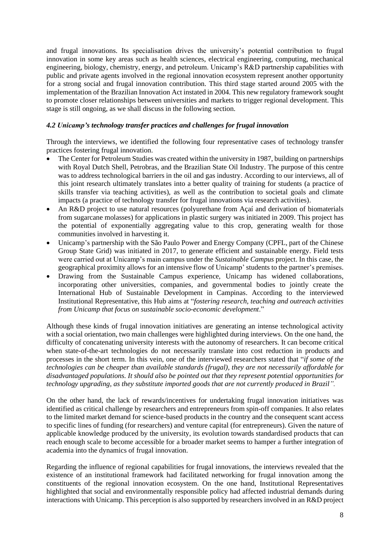and frugal innovations. Its specialisation drives the university's potential contribution to frugal innovation in some key areas such as health sciences, electrical engineering, computing, mechanical engineering, biology, chemistry, energy, and petroleum. Unicamp's R&D partnership capabilities with public and private agents involved in the regional innovation ecosystem represent another opportunity for a strong social and frugal innovation contribution. This third stage started around 2005 with the implementation of the Brazilian Innovation Act instated in 2004. This new regulatory framework sought to promote closer relationships between universities and markets to trigger regional development. This stage is still ongoing, as we shall discuss in the following section.

### *4.2 Unicamp's technology transfer practices and challenges for frugal innovation*

Through the interviews, we identified the following four representative cases of technology transfer practices fostering frugal innovation.

- The Center for Petroleum Studies was created within the university in 1987, building on partnerships with Royal Dutch Shell, Petrobras, and the Brazilian State Oil Industry. The purpose of this centre was to address technological barriers in the oil and gas industry. According to our interviews, all of this joint research ultimately translates into a better quality of training for students (a practice of skills transfer via teaching activities), as well as the contribution to societal goals and climate impacts (a practice of technology transfer for frugal innovations via research activities).
- An R&D project to use natural resources (polyurethane from Açaí and derivation of biomaterials from sugarcane molasses) for applications in plastic surgery was initiated in 2009. This project has the potential of exponentially aggregating value to this crop, generating wealth for those communities involved in harvesting it.
- Unicamp's partnership with the São Paulo Power and Energy Company (CPFL, part of the Chinese Group State Grid) was initiated in 2017, to generate efficient and sustainable energy. Field tests were carried out at Unicamp's main campus under the *Sustainable Campus* project. In this case, the geographical proximity allows for an intensive flow of Unicamp' students to the partner's premises.
- Drawing from the Sustainable Campus experience, Unicamp has widened collaborations, incorporating other universities, companies, and governmental bodies to jointly create the International Hub of Sustainable Development in Campinas. According to the interviewed Institutional Representative, this Hub aims at "*fostering research, teaching and outreach activities from Unicamp that focus on sustainable socio-economic development*."

Although these kinds of frugal innovation initiatives are generating an intense technological activity with a social orientation, two main challenges were highlighted during interviews. On the one hand, the difficulty of concatenating university interests with the autonomy of researchers. It can become critical when state-of-the-art technologies do not necessarily translate into cost reduction in products and processes in the short term. In this vein, one of the interviewed researchers stated that "*if some of the technologies can be cheaper than available standards (frugal), they are not necessarily affordable for disadvantaged populations. It should also be pointed out that they represent potential opportunities for technology upgrading, as they substitute imported goods that are not currently produced in Brazil".*

On the other hand, the lack of rewards/incentives for undertaking frugal innovation initiatives was identified as critical challenge by researchers and entrepreneurs from spin-off companies. It also relates to the limited market demand for science-based products in the country and the consequent scant access to specific lines of funding (for researchers) and venture capital (for entrepreneurs). Given the nature of applicable knowledge produced by the university, its evolution towards standardised products that can reach enough scale to become accessible for a broader market seems to hamper a further integration of academia into the dynamics of frugal innovation.

Regarding the influence of regional capabilities for frugal innovations, the interviews revealed that the existence of an institutional framework had facilitated networking for frugal innovation among the constituents of the regional innovation ecosystem. On the one hand, Institutional Representatives highlighted that social and environmentally responsible policy had affected industrial demands during interactions with Unicamp. This perception is also supported by researchers involved in an R&D project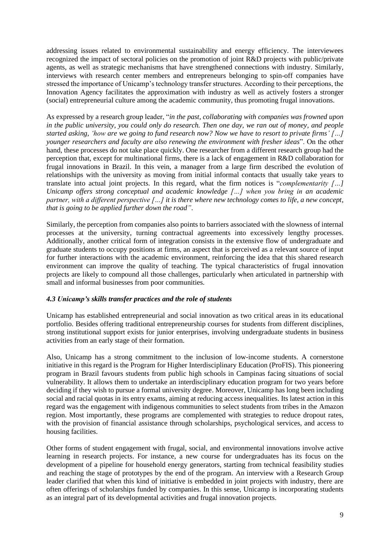addressing issues related to environmental sustainability and energy efficiency. The interviewees recognized the impact of sectoral policies on the promotion of joint R&D projects with public/private agents, as well as strategic mechanisms that have strengthened connections with industry. Similarly, interviews with research center members and entrepreneurs belonging to spin-off companies have stressed the importance of Unicamp's technology transfer structures. According to their perceptions, the Innovation Agency facilitates the approximation with industry as well as actively fosters a stronger (social) entrepreneurial culture among the academic community, thus promoting frugal innovations.

As expressed by a research group leader, "*in the past, collaborating with companies was frowned upon in the public university, you could only do research. Then one day, we ran out of money, and people started asking, 'how are we going to fund research now? Now we have to resort to private firms' […] younger researchers and faculty are also renewing the environment with fresher ideas*". On the other hand, these processes do not take place quickly. One researcher from a different research group had the perception that, except for multinational firms, there is a lack of engagement in R&D collaboration for frugal innovations in Brazil. In this vein, a manager from a large firm described the evolution of relationships with the university as moving from initial informal contacts that usually take years to translate into actual joint projects. In this regard, what the firm notices is "*complementarity […] Unicamp offers strong conceptual and academic knowledge […] when you bring in an academic partner, with a different perspective […] it is there where new technology comes to life, a new concept, that is going to be applied further down the road"*.

Similarly, the perception from companies also points to barriers associated with the slowness of internal processes at the university, turning contractual agreements into excessively lengthy processes. Additionally, another critical form of integration consists in the extensive flow of undergraduate and graduate students to occupy positions at firms, an aspect that is perceived as a relevant source of input for further interactions with the academic environment, reinforcing the idea that this shared research environment can improve the quality of teaching. The typical characteristics of frugal innovation projects are likely to compound all those challenges, particularly when articulated in partnership with small and informal businesses from poor communities.

## *4.3 Unicamp's skills transfer practices and the role of students*

Unicamp has established entrepreneurial and social innovation as two critical areas in its educational portfolio. Besides offering traditional entrepreneurship courses for students from different disciplines, strong institutional support exists for junior enterprises, involving undergraduate students in business activities from an early stage of their formation.

Also, Unicamp has a strong commitment to the inclusion of low-income students. A cornerstone initiative in this regard is the Program for Higher Interdisciplinary Education (ProFIS). This pioneering program in Brazil favours students from public high schools in Campinas facing situations of social vulnerability. It allows them to undertake an interdisciplinary education program for two years before deciding if they wish to pursue a formal university degree. Moreover, Unicamp has long been including social and racial quotas in its entry exams, aiming at reducing access inequalities. Its latest action in this regard was the engagement with indigenous communities to select students from tribes in the Amazon region. Most importantly, these programs are complemented with strategies to reduce dropout rates, with the provision of financial assistance through scholarships, psychological services, and access to housing facilities.

Other forms of student engagement with frugal, social, and environmental innovations involve active learning in research projects. For instance, a new course for undergraduates has its focus on the development of a pipeline for household energy generators, starting from technical feasibility studies and reaching the stage of prototypes by the end of the program. An interview with a Research Group leader clarified that when this kind of initiative is embedded in joint projects with industry, there are often offerings of scholarships funded by companies. In this sense, Unicamp is incorporating students as an integral part of its developmental activities and frugal innovation projects.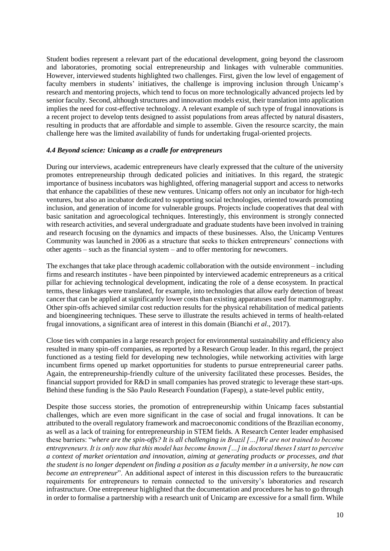Student bodies represent a relevant part of the educational development, going beyond the classroom and laboratories, promoting social entrepreneurship and linkages with vulnerable communities. However, interviewed students highlighted two challenges. First, given the low level of engagement of faculty members in students' initiatives, the challenge is improving inclusion through Unicamp's research and mentoring projects, which tend to focus on more technologically advanced projects led by senior faculty. Second, although structures and innovation models exist, their translation into application implies the need for cost-effective technology. A relevant example of such type of frugal innovations is a recent project to develop tents designed to assist populations from areas affected by natural disasters, resulting in products that are affordable and simple to assemble. Given the resource scarcity, the main challenge here was the limited availability of funds for undertaking frugal-oriented projects.

#### *4.4 Beyond science: Unicamp as a cradle for entrepreneurs*

During our interviews, academic entrepreneurs have clearly expressed that the culture of the university promotes entrepreneurship through dedicated policies and initiatives. In this regard, the strategic importance of business incubators was highlighted, offering managerial support and access to networks that enhance the capabilities of these new ventures. Unicamp offers not only an incubator for high-tech ventures, but also an incubator dedicated to supporting social technologies, oriented towards promoting inclusion, and generation of income for vulnerable groups. Projects include cooperatives that deal with basic sanitation and agroecological techniques. Interestingly, this environment is strongly connected with research activities, and several undergraduate and graduate students have been involved in training and research focusing on the dynamics and impacts of these businesses. Also, the Unicamp Ventures Community was launched in 2006 as a structure that seeks to thicken entrepreneurs' connections with other agents – such as the financial system – and to offer mentoring for newcomers.

The exchanges that take place through academic collaboration with the outside environment – including firms and research institutes - have been pinpointed by interviewed academic entrepreneurs as a critical pillar for achieving technological development, indicating the role of a dense ecosystem. In practical terms, these linkages were translated, for example, into technologies that allow early detection of breast cancer that can be applied at significantly lower costs than existing apparatuses used for mammography. Other spin-offs achieved similar cost reduction results for the physical rehabilitation of medical patients and bioengineering techniques. These serve to illustrate the results achieved in terms of health-related frugal innovations, a significant area of interest in this domain (Bianchi *et al*., 2017).

Close ties with companies in a large research project for environmental sustainability and efficiency also resulted in many spin-off companies, as reported by a Research Group leader. In this regard, the project functioned as a testing field for developing new technologies, while networking activities with large incumbent firms opened up market opportunities for students to pursue entrepreneurial career paths. Again, the entrepreneurship-friendly culture of the university facilitated these processes. Besides, the financial support provided for R&D in small companies has proved strategic to leverage these start-ups. Behind these funding is the São Paulo Research Foundation (Fapesp), a state-level public entity,

Despite those success stories, the promotion of entrepreneurship within Unicamp faces substantial challenges, which are even more significant in the case of social and frugal innovations. It can be attributed to the overall regulatory framework and macroeconomic conditions of the Brazilian economy, as well as a lack of training for entrepreneurship in STEM fields. A Research Center leader emphasised these barriers: "*where are the spin-offs? It is all challenging in Brazil […]We are not trained to become entrepreneurs. It is only now that this model has become known […] in doctoral theses I start to perceive a context of market orientation and innovation, aiming at generating products or processes, and that the student is no longer dependent on finding a position as a faculty member in a university, he now can become an entrepreneur*". An additional aspect of interest in this discussion refers to the bureaucratic requirements for entrepreneurs to remain connected to the university's laboratories and research infrastructure. One entrepreneur highlighted that the documentation and procedures he has to go through in order to formalise a partnership with a research unit of Unicamp are excessive for a small firm. While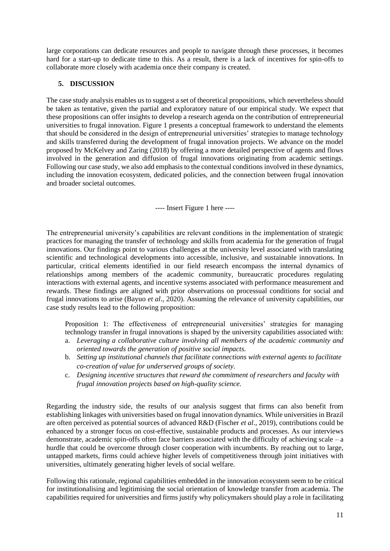large corporations can dedicate resources and people to navigate through these processes, it becomes hard for a start-up to dedicate time to this. As a result, there is a lack of incentives for spin-offs to collaborate more closely with academia once their company is created.

## **5. DISCUSSION**

The case study analysis enables us to suggest a set of theoretical propositions, which nevertheless should be taken as tentative, given the partial and exploratory nature of our empirical study. We expect that these propositions can offer insights to develop a research agenda on the contribution of entrepreneurial universities to frugal innovation. Figure 1 presents a conceptual framework to understand the elements that should be considered in the design of entrepreneurial universities' strategies to manage technology and skills transferred during the development of frugal innovation projects. We advance on the model proposed by McKelvey and Zaring (2018) by offering a more detailed perspective of agents and flows involved in the generation and diffusion of frugal innovations originating from academic settings. Following our case study, we also add emphasis to the contextual conditions involved in these dynamics, including the innovation ecosystem, dedicated policies, and the connection between frugal innovation and broader societal outcomes.

---- Insert Figure 1 here ----

The entrepreneurial university's capabilities are relevant conditions in the implementation of strategic practices for managing the transfer of technology and skills from academia for the generation of frugal innovations. Our findings point to various challenges at the university level associated with translating scientific and technological developments into accessible, inclusive, and sustainable innovations. In particular, critical elements identified in our field research encompass the internal dynamics of relationships among members of the academic community, bureaucratic procedures regulating interactions with external agents, and incentive systems associated with performance measurement and rewards. These findings are aligned with prior observations on processual conditions for social and frugal innovations to arise (Bayuo *et al*., 2020). Assuming the relevance of university capabilities, our case study results lead to the following proposition:

Proposition 1: The effectiveness of entrepreneurial universities' strategies for managing technology transfer in frugal innovations is shaped by the university capabilities associated with:

- a. *Leveraging a collaborative culture involving all members of the academic community and oriented towards the generation of positive social impacts.*
- b. *Setting up institutional channels that facilitate connections with external agents to facilitate co-creation of value for underserved groups of society.*
- c. *Designing incentive structures that reward the commitment of researchers and faculty with frugal innovation projects based on high-quality science.*

Regarding the industry side, the results of our analysis suggest that firms can also benefit from establishing linkages with universities based on frugal innovation dynamics. While universities in Brazil are often perceived as potential sources of advanced R&D (Fischer *et al*., 2019), contributions could be enhanced by a stronger focus on cost-effective, sustainable products and processes. As our interviews demonstrate, academic spin-offs often face barriers associated with the difficulty of achieving scale – a hurdle that could be overcome through closer cooperation with incumbents. By reaching out to large, untapped markets, firms could achieve higher levels of competitiveness through joint initiatives with universities, ultimately generating higher levels of social welfare.

Following this rationale, regional capabilities embedded in the innovation ecosystem seem to be critical for institutionalising and legitimising the social orientation of knowledge transfer from academia. The capabilities required for universities and firms justify why policymakers should play a role in facilitating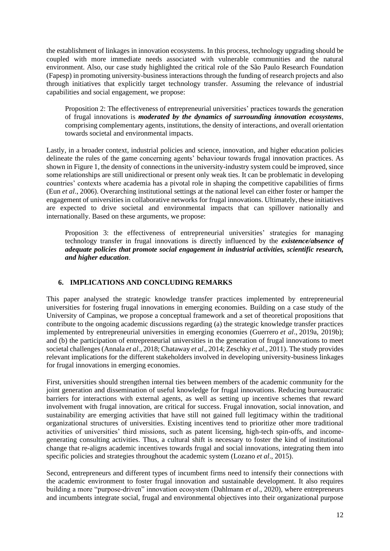the establishment of linkages in innovation ecosystems. In this process, technology upgrading should be coupled with more immediate needs associated with vulnerable communities and the natural environment. Also, our case study highlighted the critical role of the São Paulo Research Foundation (Fapesp) in promoting university-business interactions through the funding of research projects and also through initiatives that explicitly target technology transfer. Assuming the relevance of industrial capabilities and social engagement, we propose:

Proposition 2: The effectiveness of entrepreneurial universities' practices towards the generation of frugal innovations is *moderated by the dynamics of surrounding innovation ecosystems*, comprising complementary agents, institutions, the density of interactions, and overall orientation towards societal and environmental impacts.

Lastly, in a broader context, industrial policies and science, innovation, and higher education policies delineate the rules of the game concerning agents' behaviour towards frugal innovation practices. As shown in Figure 1, the density of connections in the university-industry system could be improved, since some relationships are still unidirectional or present only weak ties. It can be problematic in developing countries' contexts where academia has a pivotal role in shaping the competitive capabilities of firms (Eun *et al*., 2006). Overarching institutional settings at the national level can either foster or hamper the engagement of universities in collaborative networks for frugal innovations. Ultimately, these initiatives are expected to drive societal and environmental impacts that can spillover nationally and internationally. Based on these arguments, we propose:

Proposition 3: the effectiveness of entrepreneurial universities' strategies for managing technology transfer in frugal innovations is directly influenced by the *existence/absence of adequate policies that promote social engagement in industrial activities, scientific research, and higher education*.

## **6. IMPLICATIONS AND CONCLUDING REMARKS**

This paper analysed the strategic knowledge transfer practices implemented by entrepreneurial universities for fostering frugal innovations in emerging economies. Building on a case study of the University of Campinas, we propose a conceptual framework and a set of theoretical propositions that contribute to the ongoing academic discussions regarding (a) the strategic knowledge transfer practices implemented by entrepreneurial universities in emerging economies (Guerrero *et al*., 2019a, 2019b); and (b) the participation of entrepreneurial universities in the generation of frugal innovations to meet societal challenges (Annala *et al*., 2018; Chataway *et al*., 2014; Zeschky *et al*., 2011). The study provides relevant implications for the different stakeholders involved in developing university-business linkages for frugal innovations in emerging economies.

First, universities should strengthen internal ties between members of the academic community for the joint generation and dissemination of useful knowledge for frugal innovations. Reducing bureaucratic barriers for interactions with external agents, as well as setting up incentive schemes that reward involvement with frugal innovation, are critical for success. Frugal innovation, social innovation, and sustainability are emerging activities that have still not gained full legitimacy within the traditional organizational structures of universities. Existing incentives tend to prioritize other more traditional activities of universities' third missions, such as patent licensing, high-tech spin-offs, and incomegenerating consulting activities. Thus, a cultural shift is necessary to foster the kind of institutional change that re-aligns academic incentives towards frugal and social innovations, integrating them into specific policies and strategies throughout the academic system (Lozano *et al*., 2015).

Second, entrepreneurs and different types of incumbent firms need to intensify their connections with the academic environment to foster frugal innovation and sustainable development. It also requires building a more "purpose-driven" innovation ecosystem (Dahlmann *et al*., 2020), where entrepreneurs and incumbents integrate social, frugal and environmental objectives into their organizational purpose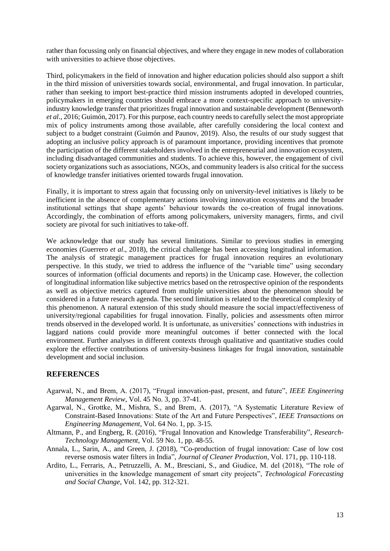rather than focussing only on financial objectives, and where they engage in new modes of collaboration with universities to achieve those objectives.

Third, policymakers in the field of innovation and higher education policies should also support a shift in the third mission of universities towards social, environmental, and frugal innovation. In particular, rather than seeking to import best-practice third mission instruments adopted in developed countries, policymakers in emerging countries should embrace a more context-specific approach to universityindustry knowledge transfer that prioritizes frugal innovation and sustainable development (Benneworth *et al*., 2016; Guimón, 2017). For this purpose, each country needs to carefully select the most appropriate mix of policy instruments among those available, after carefully considering the local context and subject to a budget constraint (Guimón and Paunov, 2019). Also, the results of our study suggest that adopting an inclusive policy approach is of paramount importance, providing incentives that promote the participation of the different stakeholders involved in the entrepreneurial and innovation ecosystem, including disadvantaged communities and students. To achieve this, however, the engagement of civil society organizations such as associations, NGOs, and community leaders is also critical for the success of knowledge transfer initiatives oriented towards frugal innovation.

Finally, it is important to stress again that focussing only on university-level initiatives is likely to be inefficient in the absence of complementary actions involving innovation ecosystems and the broader institutional settings that shape agents' behaviour towards the co-creation of frugal innovations. Accordingly, the combination of efforts among policymakers, university managers, firms, and civil society are pivotal for such initiatives to take-off.

We acknowledge that our study has several limitations. Similar to previous studies in emerging economies (Guerrero *et al*., 2018), the critical challenge has been accessing longitudinal information. The analysis of strategic management practices for frugal innovation requires an evolutionary perspective. In this study, we tried to address the influence of the "variable time" using secondary sources of information (official documents and reports) in the Unicamp case. However, the collection of longitudinal information like subjective metrics based on the retrospective opinion of the respondents as well as objective metrics captured from multiple universities about the phenomenon should be considered in a future research agenda. The second limitation is related to the theoretical complexity of this phenomenon. A natural extension of this study should measure the social impact/effectiveness of university/regional capabilities for frugal innovation. Finally, policies and assessments often mirror trends observed in the developed world. It is unfortunate, as universities' connections with industries in laggard nations could provide more meaningful outcomes if better connected with the local environment. Further analyses in different contexts through qualitative and quantitative studies could explore the effective contributions of university-business linkages for frugal innovation, sustainable development and social inclusion.

## **REFERENCES**

- Agarwal, N., and Brem, A. (2017), "Frugal innovation-past, present, and future", *IEEE Engineering Management Review*, Vol. 45 No. 3, pp. 37-41.
- Agarwal, N., Grottke, M., Mishra, S., and Brem, A. (2017), "A Systematic Literature Review of Constraint-Based Innovations: State of the Art and Future Perspectives", *IEEE Transactions on Engineering Management*, Vol. 64 No. 1, pp. 3-15.
- Altmann, P., and Engberg, R. (2016), "Frugal Innovation and Knowledge Transferability", *Research-Technology Management*, Vol. 59 No. 1, pp. 48-55.
- Annala, L., Sarin, A., and Green, J. (2018), "Co-production of frugal innovation: Case of low cost reverse osmosis water filters in India", *Journal of Cleaner Production*, Vol. 171, pp. 110-118.
- Ardito, L., Ferraris, A., Petruzzelli, A. M., Bresciani, S., and Giudice, M. del (2018), "The role of universities in the knowledge management of smart city projects", *Technological Forecasting and Social Change,* Vol. 142, pp. 312-321.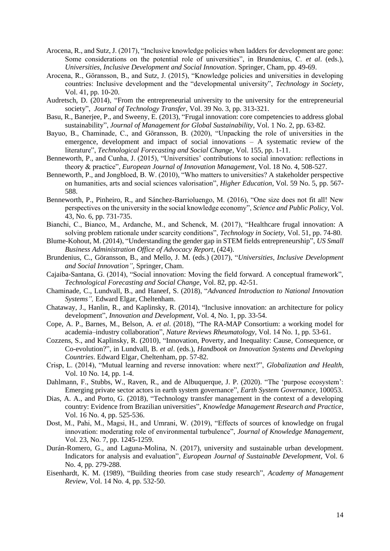- Arocena, R., and Sutz, J. (2017), "Inclusive knowledge policies when ladders for development are gone: Some considerations on the potential role of universities", in Brundenius, C. *et al*. (eds.), *Universities, Inclusive Development and Social Innovation*. Springer, Cham, pp. 49-69.
- Arocena, R., Göransson, B., and Sutz, J. (2015), "Knowledge policies and universities in developing countries: Inclusive development and the "developmental university", *Technology in Society*, Vol. 41, pp. 10-20.
- Audretsch, D. (2014), "From the entrepreneurial university to the university for the entrepreneurial society", *Journal of Technology Transfer*, Vol. 39 No. 3, pp. 313-321.
- Basu, R., Banerjee, P., and Sweeny, E. (2013), "Frugal innovation: core competencies to address global sustainability", *Journal of Management for Global Sustainability*, Vol. 1 No. 2, pp. 63-82.
- Bayuo, B., Chaminade, C., and Göransson, B. (2020), "Unpacking the role of universities in the emergence, development and impact of social innovations – A systematic review of the literature", *Technological Forecasting and Social Change*, Vol. 155, pp. 1-11.
- Benneworth, P., and Cunha, J. (2015), "Universities' contributions to social innovation: reflections in theory & practice", *European Journal of Innovation Management*, Vol. 18 No. 4, 508-527.
- Benneworth, P., and Jongbloed, B. W. (2010), "Who matters to universities? A stakeholder perspective on humanities, arts and social sciences valorisation", *Higher Education*, Vol. 59 No. 5, pp. 567- 588.
- Benneworth, P., Pinheiro, R., and Sánchez-Barrioluengo, M. (2016), "One size does not fit all! New perspectives on the university in the social knowledge economy", *Science and Public Policy*, Vol. 43, No. 6, pp. 731-735.
- Bianchi, C., Bianco, M., Ardanche, M., and Schenck, M. (2017), "Healthcare frugal innovation: A solving problem rationale under scarcity conditions", *Technology in Society*, Vol. 51, pp. 74-80.
- Blume-Kohout, M. (2014), "Understanding the gender gap in STEM fields entrepreneurship", *US Small Business Administration Office of Advocacy Report*, (424).
- Brundenius, C., Göransson, B., and Mello, J. M. (eds.) (2017), "*Universities, Inclusive Development and Social Innovation",* Springer, Cham.
- Cajaiba-Santana, G. (2014), "Social innovation: Moving the field forward. A conceptual framework", *Technological Forecasting and Social Change*, Vol. 82, pp. 42-51.
- Chaminade, C., Lundvall, B., and Haneef, S. (2018), "*Advanced Introduction to National Innovation Systems",* Edward Elgar, Cheltenham.
- Chataway, J., Hanlin, R., and Kaplinsky, R. (2014), "Inclusive innovation: an architecture for policy development", *Innovation and Development*, Vol. 4, No. 1, pp. 33-54.
- Cope, A. P., Barnes, M., Belson, A. *et al*. (2018), "The RA-MAP Consortium: a working model for academia–industry collaboration", *Nature Reviews Rheumatology*, Vol. 14 No. 1, pp. 53-61.
- Cozzens, S., and Kaplinsky, R. (2010), "Innovation, Poverty, and Inequality: Cause, Consequence, or Co-evolution?", in Lundvall, B. *et al*. (eds.), *Handbook on Innovation Systems and Developing Countries*. Edward Elgar, Cheltenham, pp. 57-82.
- Crisp, L. (2014), "Mutual learning and reverse innovation: where next?", *Globalization and Health*, Vol. 10 No. 14, pp. 1-4.
- Dahlmann, F., Stubbs, W., Raven, R., and de Albuquerque, J. P. (2020). "The 'purpose ecosystem': Emerging private sector actors in earth system governance", *Earth System Governance*, 100053.
- Dias, A. A., and Porto, G. (2018), "Technology transfer management in the context of a developing country: Evidence from Brazilian universities", *Knowledge Management Research and Practice*, Vol. 16 No. 4, pp. 525-536.
- Dost, M., Pahi, M., Magsi, H., and Umrani, W. (2019), "Effects of sources of knowledge on frugal innovation: moderating role of environmental turbulence", *Journal of Knowledge Management*, Vol. 23, No. 7, pp. 1245-1259.
- Durán-Romero, G., and Laguna-Molina, N. (2017), university and sustainable urban development. Indicators for analysis and evaluation", *European Journal of Sustainable Development*, Vol. 6 No. 4, pp. 279-288.
- Eisenhardt, K. M. (1989), "Building theories from case study research", *Academy of Management Review*, Vol. 14 No. 4, pp. 532-50.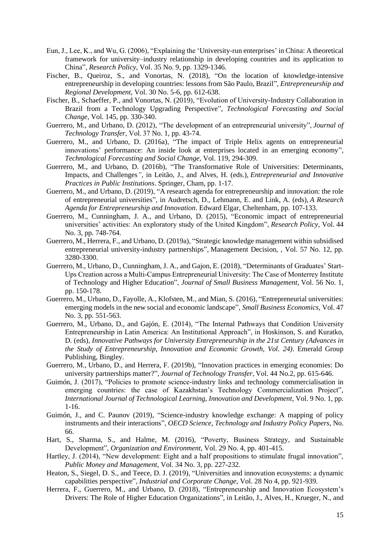- Eun, J., Lee, K., and Wu, G. (2006), "Explaining the 'University-run enterprises' in China: A theoretical framework for university–industry relationship in developing countries and its application to China", *Research Policy*, Vol. 35 No. 9, pp. 1329-1346.
- Fischer, B., Queiroz, S., and Vonortas, N. (2018), "On the location of knowledge-intensive entrepreneurship in developing countries: lessons from São Paulo, Brazil", *Entrepreneurship and Regional Development*, Vol. 30 No. 5-6, pp. 612-638.
- Fischer, B., Schaeffer, P., and Vonortas, N. (2019), "Evolution of University-Industry Collaboration in Brazil from a Technology Upgrading Perspective", *Technological Forecasting and Social Change,* Vol. 145, pp. 330-340.
- Guerrero, M., and Urbano, D. (2012), "The development of an entrepreneurial university", *Journal of Technology Transfer,* Vol. 37 No. 1, pp. 43-74.
- Guerrero, M., and Urbano, D. (2016a), "The impact of Triple Helix agents on entrepreneurial innovations' performance: An inside look at enterprises located in an emerging economy", *Technological Forecasting and Social Change*, Vol. 119, 294-309.
- Guerrero, M., and Urbano, D. (2016b), "The Transformative Role of Universities: Determinants, Impacts, and Challenges*"*, in Leitão, J., and Alves, H. (eds.), *Entrepreneurial and Innovative Practices in Public Institutions*. Springer, Cham, pp. 1-17.
- Guerrero, M., and Urbano, D. (2019), "A research agenda for entrepreneurship and innovation: the role of entrepreneurial universities", in Audretsch, D., Lehmann, E. and Link, A. (eds), *A Research Agenda for Entrepreneurship and Innovation*. Edward Elgar, Cheltenham, pp. 107-133.
- Guerrero, M., Cunningham, J. A., and Urbano, D. (2015), "Economic impact of entrepreneurial universities' activities: An exploratory study of the United Kingdom", *Research Policy,* Vol. 44 No. 3, pp. 748-764.
- Guerrero, M., Herrera, F., and Urbano, D. (2019a), "Strategic knowledge management within subsidised entrepreneurial university-industry partnerships", Management Decision, *,* Vol. 57 No. 12, pp. 3280-3300.
- Guerrero, M., Urbano, D., Cunningham, J. A., and Gajon, E. (2018), "Determinants of Graduates' Start-Ups Creation across a Multi‐Campus Entrepreneurial University: The Case of Monterrey Institute of Technology and Higher Education", *Journal of Small Business Management,* Vol. 56 No. 1, pp. 150-178.
- Guerrero, M., Urbano, D., Fayolle, A., Klofsten, M., and Mian, S. (2016), "Entrepreneurial universities: emerging models in the new social and economic landscape", *Small Business Economics*, Vol. 47 No. 3, pp. 551-563.
- Guerrero, M., Urbano, D., and Gajón, E. (2014), "The Internal Pathways that Condition University Entrepreneurship in Latin America: An Institutional Approach", in Hoskinson, S. and Kuratko, D. (eds), *Innovative Pathways for University Entrepreneurship in the 21st Century (Advances in the Study of Entrepreneurship, Innovation and Economic Growth, Vol. 24)*. Emerald Group Publishing, Bingley.
- Guerrero, M., Urbano, D., and Herrera, F. (2019b), "Innovation practices in emerging economies: Do university partnerships matter?", *Journal of Technology Transfer*, Vol. 44 No.2, pp. 615-646.
- Guimón, J. (2017), "Policies to promote science-industry links and technology commercialisation in emerging countries: the case of Kazakhstan's Technology Commercialization Project", *International Journal of Technological Learning, Innovation and Development*, Vol. 9 No. 1, pp. 1-16.
- Guimón, J., and C. Paunov (2019), "Science-industry knowledge exchange: A mapping of policy instruments and their interactions", *OECD Science, Technology and Industry Policy Papers*, No. 66.
- Hart, S., Sharma, S., and Halme, M. (2016), "Poverty, Business Strategy, and Sustainable Development", *Organization and Environment*, Vol. 29 No. 4, pp. 401-415.
- Hartley, J. (2014), "New development: Eight and a half propositions to stimulate frugal innovation", *Public Money and Management*, Vol. 34 No. 3, pp. 227-232.
- Heaton, S., Siegel, D. S., and Teece, D. J. (2019), "Universities and innovation ecosystems: a dynamic capabilities perspective", *Industrial and Corporate Change*, Vol. 28 No 4, pp. 921-939.
- Herrera, F., Guerrero, M., and Urbano, D. (2018), "Entrepreneurship and Innovation Ecosystem's Drivers: The Role of Higher Education Organizations", in Leitão, J., Alves, H., Krueger, N., and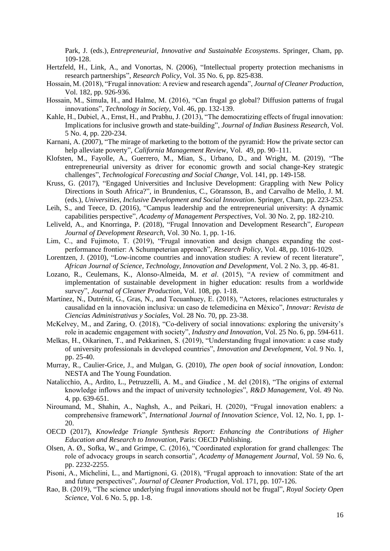Park, J. (eds.), *Entrepreneurial, Innovative and Sustainable Ecosystems*. Springer, Cham, pp. 109-128.

- Hertzfeld, H., Link, A., and Vonortas, N. (2006), "Intellectual property protection mechanisms in research partnerships", *Research Policy*, Vol. 35 No. 6, pp. 825-838.
- Hossain, M. (2018), "Frugal innovation: A review and research agenda", *Journal of Cleaner Production*, Vol. 182, pp. 926-936.
- Hossain, M., Simula, H., and Halme, M. (2016), "Can frugal go global? Diffusion patterns of frugal innovations", *Technology in Society*, Vol. 46, pp. 132-139.
- Kahle, H., Dubiel, A., Ernst, H., and Prabhu, J. (2013), "The democratizing effects of frugal innovation: Implications for inclusive growth and state-building", *Journal of Indian Business Research*, Vol. 5 No. 4, pp. 220-234.
- Karnani, A. (2007), "The mirage of marketing to the bottom of the pyramid: How the private sector can help alleviate poverty", *California Management Review,* Vol. 49, pp. 90–111.
- Klofsten, M., Fayolle, A., Guerrero, M., Mian, S., Urbano, D., and Wright, M. (2019), "The entrepreneurial university as driver for economic growth and social change-Key strategic challenges", *Technological Forecasting and Social Change*, Vol. 141, pp. 149-158.
- Kruss, G. (2017), "Engaged Universities and Inclusive Development: Grappling with New Policy Directions in South Africa?", in Brundenius, C., Göransson, B., and Carvalho de Mello, J. M. (eds.), *Universities, Inclusive Development and Social Innovation*. Springer, Cham, pp. 223-253.
- Leih, S., and Teece, D. (2016), "Campus leadership and the entrepreneurial university: A dynamic capabilities perspective", *Academy of Management Perspectives*, Vol. 30 No. 2, pp. 182-210.
- Leliveld, A., and Knorringa, P. (2018), "Frugal Innovation and Development Research", *European Journal of Development Research*, Vol. 30 No. 1, pp. 1-16.
- Lim, C., and Fujimoto, T. (2019), "Frugal innovation and design changes expanding the costperformance frontier: A Schumpeterian approach", *Research Policy*, Vol. 48, pp. 1016-1029.
- Lorentzen, J. (2010), "Low-income countries and innovation studies: A review of recent literature", *African Journal of Science, Technology, Innovation and Development*, Vol. 2 No. 3, pp. 46-81.
- Lozano, R., Ceulemans, K., Alonso-Almeida, M. *et al*. (2015), "A review of commitment and implementation of sustainable development in higher education: results from a worldwide survey", *Journal of Cleaner Production*, Vol. 108, pp. 1-18.
- Martínez, N., Dutrénit, G., Gras, N., and Tecuanhuey, E. (2018), "Actores, relaciones estructurales y causalidad en la innovación inclusiva: un caso de telemedicina en México", *Innovar: Revista de Ciencias Administrativas y Sociales*, Vol. 28 No. 70, pp. 23-38.
- McKelvey, M., and Zaring, O. (2018), "Co-delivery of social innovations: exploring the university's role in academic engagement with society", *Industry and Innovation*, Vol. 25 No. 6, pp. 594-611.
- Melkas, H., Oikarinen, T., and Pekkarinen, S. (2019), "Understanding frugal innovation: a case study of university professionals in developed countries", *Innovation and Development*, Vol. 9 No. 1, pp. 25-40.
- Murray, R., Caulier-Grice, J., and Mulgan, G. (2010), *The open book of social innovation,* London: NESTA and The Young Foundation.
- Natalicchio, A., Ardito, L., Petruzzelli, A. M., and Giudice , M. del (2018), "The origins of external knowledge inflows and the impact of university technologies", *R&D Management,* Vol. 49 No. 4, pp. 639-651.
- Niroumand, M., Shahin, A., Naghsh, A., and Peikari, H. (2020), "Frugal innovation enablers: a comprehensive framework", *International Journal of Innovation Science*, Vol. 12, No. 1, pp. 1- 20.
- OECD (2017), *Knowledge Triangle Synthesis Report: Enhancing the Contributions of Higher Education and Research to Innovation*, Paris: OECD Publishing.
- Olsen, A. Ø., Sofka, W., and Grimpe, C. (2016), "Coordinated exploration for grand challenges: The role of advocacy groups in search consortia", *Academy of Management Journal*, Vol. 59 No. 6, pp. 2232-2255.
- Pisoni, A., Michelini, L., and Martignoni, G. (2018), "Frugal approach to innovation: State of the art and future perspectives", *Journal of Cleaner Production*, Vol. 171, pp. 107-126.
- Rao, B. (2019), "The science underlying frugal innovations should not be frugal", *Royal Society Open Science*, Vol. 6 No. 5, pp. 1-8.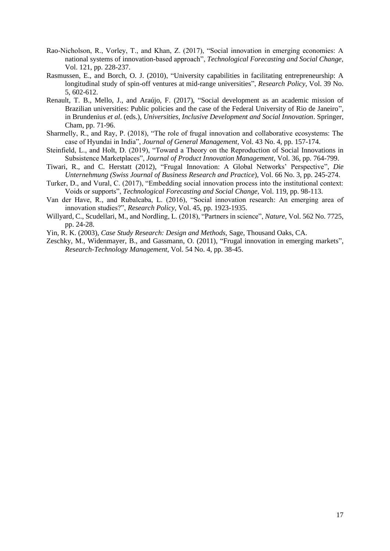- Rao-Nicholson, R., Vorley, T., and Khan, Z. (2017), "Social innovation in emerging economies: A national systems of innovation-based approach", *Technological Forecasting and Social Change*, Vol. 121, pp. 228-237.
- Rasmussen, E., and Borch, O. J. (2010), "University capabilities in facilitating entrepreneurship: A longitudinal study of spin-off ventures at mid-range universities", *Research Policy*, Vol. 39 No. 5, 602-612.
- Renault, T. B., Mello, J., and Araújo, F. (2017), "Social development as an academic mission of Brazilian universities: Public policies and the case of the Federal University of Rio de Janeiro". in Brundenius *et al*. (eds.), *Universities, Inclusive Development and Social Innovation*. Springer, Cham, pp. 71-96.
- Sharmelly, R., and Ray, P. (2018), "The role of frugal innovation and collaborative ecosystems: The case of Hyundai in India", *Journal of General Management*, Vol. 43 No. 4, pp. 157-174.
- Steinfield, L., and Holt, D. (2019), "Toward a Theory on the Reproduction of Social Innovations in Subsistence Marketplaces", *Journal of Product Innovation Management*, Vol. 36, pp. 764-799.
- Tiwari, R., and C. Herstatt (2012), "Frugal Innovation: A Global Networks' Perspective", *Die Unternehmung (Swiss Journal of Business Research and Practice*), Vol. 66 No. 3, pp. 245-274.
- Turker, D., and Vural, C. (2017), "Embedding social innovation process into the institutional context: Voids or supports", *Technological Forecasting and Social Change*, Vol. 119, pp. 98-113.
- Van der Have, R., and Rubalcaba, L. (2016), "Social innovation research: An emerging area of innovation studies?", *Research Policy*, Vol. 45, pp. 1923-1935.
- Willyard, C., Scudellari, M., and Nordling, L. (2018), "Partners in science", *Nature*, Vol. 562 No. 7725, pp. 24-28.
- Yin, R. K. (2003), *Case Study Research: Design and Methods,* Sage, Thousand Oaks, CA.
- Zeschky, M., Widenmayer, B., and Gassmann, O. (2011), "Frugal innovation in emerging markets", *Research-Technology Management*, Vol. 54 No. 4, pp. 38-45.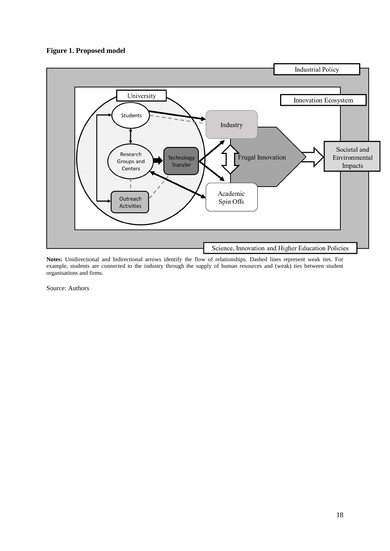## **Figure 1. Proposed model**



**Notes:** Unidirectional and bidirectional arrows identify the flow of relationships. Dashed lines represent weak ties. For example, students are connected to the industry through the supply of human resources and (weak) ties between student organisations and firms.

Source: Authors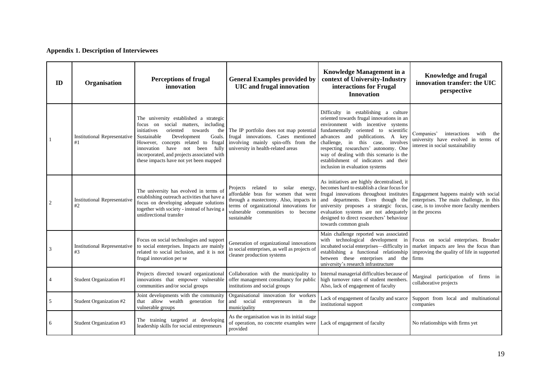# **Appendix 1. Description of Interviewees**

| ID | Organisation                              | <b>Perceptions of frugal</b><br>innovation                                                                                                                                                                                                                                                                                              | <b>General Examples provided by</b><br><b>UIC</b> and frugal innovation                                                                                                                                                | <b>Knowledge Management in a</b><br>context of University-Industry<br>interactions for Frugal<br><b>Innovation</b>                                                                                                                                                                                                                                                                                           | <b>Knowledge and frugal</b><br>innovation transfer: the UIC<br>perspective                                                                      |
|----|-------------------------------------------|-----------------------------------------------------------------------------------------------------------------------------------------------------------------------------------------------------------------------------------------------------------------------------------------------------------------------------------------|------------------------------------------------------------------------------------------------------------------------------------------------------------------------------------------------------------------------|--------------------------------------------------------------------------------------------------------------------------------------------------------------------------------------------------------------------------------------------------------------------------------------------------------------------------------------------------------------------------------------------------------------|-------------------------------------------------------------------------------------------------------------------------------------------------|
|    | <b>Institutional Representative</b><br>#1 | The university established a strategic<br>focus on social matters, including<br>oriented<br>towards<br>initiatives<br>the I<br>Development<br>Sustainable<br>Goals.<br>However, concepts related to frugal<br>fully<br>innovation have not been<br>incorporated, and projects associated with<br>these impacts have not yet been mapped | The IP portfolio does not map potential<br>frugal innovations. Cases mentioned<br>involving mainly spin-offs from the<br>university in health-related areas                                                            | Difficulty in establishing a culture<br>oriented towards frugal innovations in an<br>environment with incentive systems<br>fundamentally oriented to scientific<br>advances and publications. A key<br>challenge, in this case,<br>involves<br>respecting researchers' autonomy. One<br>way of dealing with this scenario is the<br>establishment of indicators and their<br>inclusion in evaluation systems | Companies'<br>interactions<br>with the<br>university have evolved in terms of<br>interest in social sustainability                              |
|    | <b>Institutional Representative</b><br>#2 | The university has evolved in terms of<br>establishing outreach activities that have a<br>focus on developing adequate solutions<br>together with society - instead of having a<br>unidirectional transfer                                                                                                                              | Projects related<br>solar energy,<br>to<br>affordable bras for women that went<br>through a mastectomy. Also, impacts in<br>terms of organizational innovations for<br>vulnerable communities to become<br>sustainable | As initiatives are highly decentralised, it<br>becomes hard to establish a clear focus for<br>frugal innovations throughout institutes<br>and departments. Even though the<br>university proposes a strategic focus,<br>evaluation systems are not adequately<br>designed to direct researchers' behaviour<br>towards common goals                                                                           | Engagement happens mainly with social<br>enterprises. The main challenge, in this<br>case, is to involve more faculty members<br>in the process |
| 3  | <b>Institutional Representative</b><br>#3 | Focus on social technologies and support<br>to social enterprises. Impacts are mainly<br>related to social inclusion, and it is not<br>frugal innovation per se                                                                                                                                                                         | Generation of organizational innovations<br>in social enterprises, as well as projects of<br>cleaner production systems                                                                                                | Main challenge reported was associated<br>with technological development in<br>incubated social enterprises—difficulty in<br>establishing a functional relationship<br>between these enterprises and the<br>university's research infrastructure                                                                                                                                                             | Focus on social enterprises. Broader<br>market impacts are less the focus than<br>improving the quality of life in supported<br>firms           |
|    | Student Organization #1                   | Projects directed toward organizational<br>innovations that empower vulnerable<br>communities and/or social groups                                                                                                                                                                                                                      | Collaboration with the municipality to<br>offer management consultancy for public<br>institutions and social groups                                                                                                    | Internal managerial difficulties because of<br>high turnover rates of student members<br>Also, lack of engagement of faculty                                                                                                                                                                                                                                                                                 | Marginal participation of firms in<br>collaborative projects                                                                                    |
| 5  | Student Organization #2                   | Joint developments with the community<br>that allow wealth generation for<br>vulnerable groups                                                                                                                                                                                                                                          | Organisational innovation for workers<br>and social<br>entrepreneurs in the<br>municipality                                                                                                                            | Lack of engagement of faculty and scarce<br>institutional support                                                                                                                                                                                                                                                                                                                                            | Support from local and multinational<br>companies                                                                                               |
| 6  | Student Organization #3                   | The training targeted at developing<br>leadership skills for social entrepreneurs                                                                                                                                                                                                                                                       | As the organisation was in its initial stage<br>of operation, no concrete examples were<br>provided                                                                                                                    | Lack of engagement of faculty                                                                                                                                                                                                                                                                                                                                                                                | No relationships with firms yet                                                                                                                 |